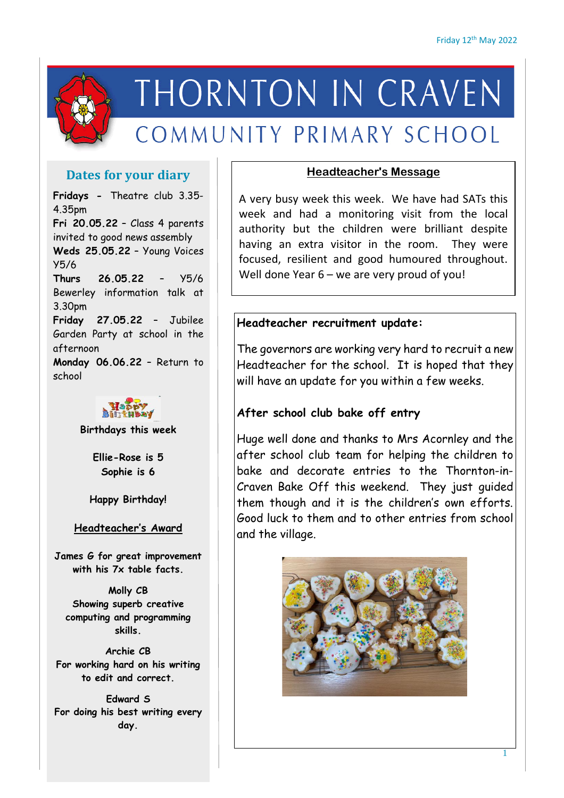

# THORNTON IN CRAVEN

# COMMUNITY PRIMARY SCHOOL

# **Dates for your diary**

**Fridays -** Theatre club 3.35- 4.35pm **Fri 20.05.22** – Class 4 parents invited to good news assembly **Weds 25.05.22** – Young Voices Y5/6 **Thurs 26.05.22** – Y5/6 Bewerley information talk at 3.30pm **Friday 27.05.22** – Jubilee Garden Party at school in the afternoon **Monday 06.06.22** – Return to school



**Birthdays this week**

**Ellie-Rose is 5 Sophie is 6**

**Happy Birthday!**

#### **Headteacher's Award**

**James G for great improvement with his 7x table facts.**

**Molly CB Showing superb creative computing and programming skills.**

**Archie CB For working hard on his writing to edit and correct.**

**Edward S For doing his best writing every day.**

#### **Headteacher's Message**

A very busy week this week. We have had SATs this week and had a monitoring visit from the local authority but the children were brilliant despite having an extra visitor in the room. They were focused, resilient and good humoured throughout. Well done Year 6 – we are very proud of you!

# **Headteacher recruitment update:**

The governors are working very hard to recruit a new Headteacher for the school. It is hoped that they will have an update for you within a few weeks.

# **After school club bake off entry**

Huge well done and thanks to Mrs Acornley and the after school club team for helping the children to bake and decorate entries to the Thornton-in-Craven Bake Off this weekend. They just guided them though and it is the children's own efforts. Good luck to them and to other entries from school and the village.